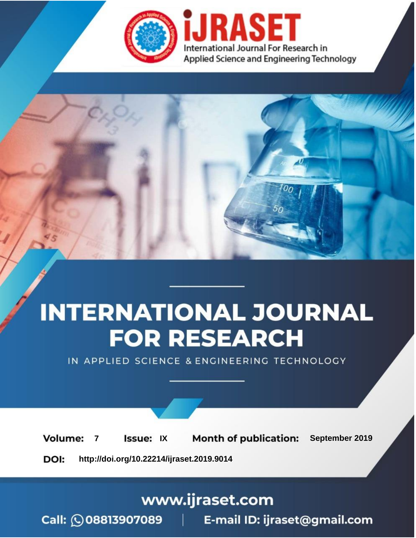

# **INTERNATIONAL JOURNAL FOR RESEARCH**

IN APPLIED SCIENCE & ENGINEERING TECHNOLOGY

**Month of publication: Volume: Issue: IX** September 2019  $\overline{7}$ DOI: http://doi.org/10.22214/ijraset.2019.9014

### www.ijraset.com

 $Call: \bigcirc$ 08813907089 E-mail ID: ijraset@gmail.com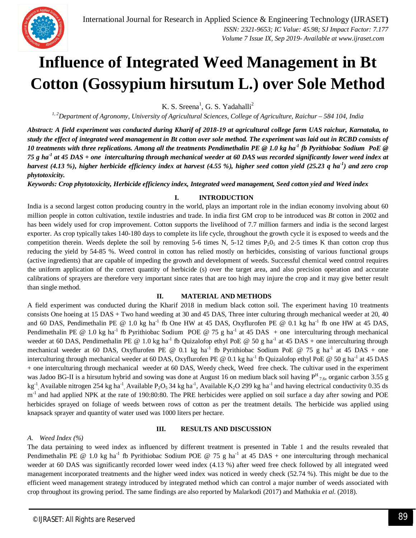

## **Influence of Integrated Weed Management in Bt Cotton (Gossypium hirsutum L.) over Sole Method**

K. S. Sreena<sup>1</sup>, G. S. Yadahalli<sup>2</sup>

*1, 2Department of Agronomy, University of Agricultural Sciences, College of Agriculture, Raichur – 584 104, India*

*Abstract: A field experiment was conducted during Kharif of 2018-19 at agricultural college farm UAS raichur, Karnataka, to study the effect of integrated weed management in Bt cotton over sole method. The experiment was laid out in RCBD consists of 10 treatments with three replications. Among all the treatments Pendimethalin PE @ 1.0 kg ha-1 fb Pyrithiobac Sodium PoE @ 75 g ha-1 at 45 DAS + one interculturing through mechanical weeder at 60 DAS was recorded significantly lower weed index at harvest (4.13 %), higher herbicide efficiency index at harvest (4.55 %), higher seed cotton yield (25.23 q ha-1 ) and zero crop phytotoxicity.* 

*Keywords: Crop phytotoxicity, Herbicide efficiency index, Integrated weed management, Seed cotton yied and Weed index*

#### **I. INTRODUCTION**

India is a second largest cotton producing country in the world, plays an important role in the indian economy involving about 60 million people in cotton cultivation, textile industries and trade. In india first GM crop to be introduced was *Bt* cotton in 2002 and has been widely used for crop improvement. Cotton supports the livelihood of 7.7 million farmers and india is the second largest exporter. As crop typically takes 140-180 days to complete its life cycle, throughout the growth cycle it is exposed to weeds and the competition therein. Weeds deplete the soil by removing 5-6 times N, 5-12 times  $P_2O_5$  and 2-5 times K than cotton crop thus reducing the yield by 54-85 %. Weed control in cotton has relied mostly on herbicides, consisting of various functional groups (active ingredients) that are capable of impeding the growth and development of weeds. Successful chemical weed control requires the uniform application of the correct quantity of herbicide (s) over the target area, and also precision operation and accurate calibrations of sprayers are therefore very important since rates that are too high may injure the crop and it may give better result than single method.

#### **II. MATERIAL AND METHODS**

A field experiment was conducted during the Kharif 2018 in medium black cotton soil. The experiment having 10 treatments consists One hoeing at 15 DAS + Two hand weeding at 30 and 45 DAS, Three inter culturing through mechanical weeder at 20, 40 and 60 DAS, Pendimethalin PE @ 1.0 kg ha<sup>-1</sup> fb One HW at 45 DAS, Oxyflurofen PE @ 0.1 kg ha<sup>-1</sup> fb one HW at 45 DAS, Pendimethalin PE @ 1.0 kg ha<sup>-1</sup> fb Pyrithiobac Sodium POE @ 75 g ha<sup>-1</sup> at 45 DAS + one interculturing through mechanical weeder at 60 DAS, Pendimethalin PE @ 1.0 kg ha<sup>-1</sup> fb Quizalofop ethyl PoE @ 50 g ha<sup>-1</sup> at 45 DAS + one interculturing through mechanical weeder at 60 DAS, Oxyflurofen PE @ 0.1 kg ha<sup>-1</sup> fb Pyrithiobac Sodium PoE @ 75 g ha<sup>-1</sup> at 45 DAS + one interculturing through mechanical weeder at 60 DAS, Oxyflurofen PE @ 0.1 kg ha<sup>-1</sup> fb Quizalofop ethyl PoE @ 50 g ha<sup>-1</sup> at 45 DAS + one interculturing through mechanical weeder at 60 DAS, Weedy check, Weed free check. The cultivar used in the experiment was Jadoo BG-II is a hirsutum hybrid and sowing was done at August 16 on medium black soil having  $P^H{}_{7.6}$ , organic carbon 3.55 g kg<sup>-1</sup>, Available nitrogen 254 kg ha<sup>-1</sup>, Available P<sub>2</sub>O<sub>5</sub> 34 kg ha<sup>-1</sup>, Available K<sub>2</sub>O 299 kg ha<sup>-1</sup> and having electrical conductivity 0.35 ds m<sup>-1</sup> and had applied NPK at the rate of 190:80:80. The PRE herbicides were applied on soil surface a day after sowing and POE herbicides sprayed on foliage of weeds between rows of cotton as per the treatment details. The herbicide was applied using knapsack sprayer and quantity of water used was 1000 liters per hectare.

#### **III. RESULTS AND DISCUSSION**

#### *A. Weed Index (%)*

The data pertaining to weed index as influenced by different treatment is presented in Table 1 and the results revealed that Pendimethalin PE @ 1.0 kg ha<sup>-1</sup> fb Pyrithiobac Sodium POE @ 75 g ha<sup>-1</sup> at 45 DAS + one interculturing through mechanical weeder at 60 DAS was significantly recorded lower weed index (4.13 %) after weed free check followed by all integrated weed management incorporated treatments and the higher weed index was noticed in weedy check (52.74 %). This might be due to the efficient weed management strategy introduced by integrated method which can control a major number of weeds associated with crop throughout its growing period. The same findings are also reported by Malarkodi (2017) and Mathukia *et al*. (2018).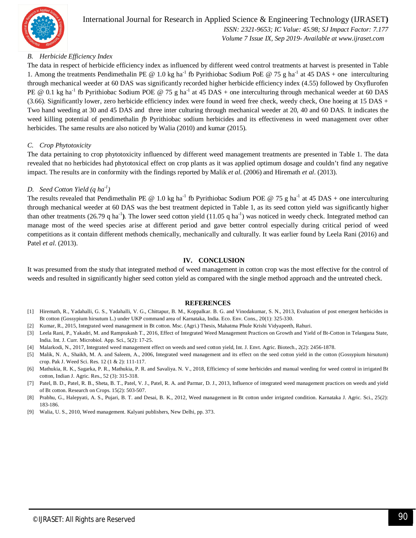

 *Volume 7 Issue IX, Sep 2019- Available at www.ijraset.com*

#### *B. Herbicide Efficiency Index*

The data in respect of herbicide efficiency index as influenced by different weed control treatments at harvest is presented in Table 1. Among the treatments Pendimethalin PE @ 1.0 kg ha<sup>-1</sup> fb Pyrithiobac Sodium PoE @ 75 g ha<sup>-1</sup> at 45 DAS + one interculturing through mechanical weeder at 60 DAS was significantly recorded higher herbicide efficiency index (4.55) followed by Oxyflurofen PE  $@ 0.1$  kg ha<sup>-1</sup> fb Pyrithiobac Sodium POE  $@ 75$  g ha<sup>-1</sup> at 45 DAS + one interculturing through mechanical weeder at 60 DAS (3.66). Significantly lower, zero herbicide efficiency index were found in weed free check, weedy check, One hoeing at 15 DAS + Two hand weeding at 30 and 45 DAS and three inter culturing through mechanical weeder at 20, 40 and 60 DAS. It indicates the weed killing potential of pendimethalin *fb* Pyrithiobac sodium herbicides and its effectiveness in weed management over other herbicides. The same results are also noticed by Walia (2010) and kumar (2015).

#### *C. Crop Phytotoxicity*

The data pertaining to crop phytotoxicity influenced by different weed management treatments are presented in Table 1. The data revealed that no herbicides had phytotoxical effect on crop plants as it was applied optimum dosage and couldn't find any negative impact. The results are in conformity with the findings reported by Malik *et al*. (2006) and Hiremath *et al*. (2013).

#### *D. Seed Cotton Yield (q ha-1 )*

The results revealed that Pendimethalin PE @ 1.0 kg ha<sup>-1</sup> fb Pyrithiobac Sodium POE @ 75 g ha<sup>-1</sup> at 45 DAS + one interculturing through mechanical weeder at 60 DAS was the best treatment depicted in Table 1, as its seed cotton yield was significantly higher than other treatments (26.79 q ha<sup>-1</sup>). The lower seed cotton yield (11.05 q ha<sup>-1</sup>) was noticed in weedy check. Integrated method can manage most of the weed species arise at different period and gave better control especially during critical period of weed competitions as it contain different methods chemically, mechanically and culturally. It was earlier found by Leela Rani (2016) and Patel *et al*. (2013).

#### **IV. CONCLUSION**

It was presumed from the study that integrated method of weed management in cotton crop was the most effective for the control of weeds and resulted in significantly higher seed cotton yield as compared with the single method approach and the untreated check.

#### **REFERENCES**

- [1] Hiremath, R., Yadahalli, G. S., Yadahalli, V. G., Chittapur, B. M., Koppalkar. B. G. and Vinodakumar, S. N., 2013, Evaluation of post emergent herbicides in Bt cotton (Gossypium hirsutum L.) under UKP command area of Karnataka, India. Eco. Env. Cons., 20(1): 325-330.
- [2] Kumar, R., 2015, Integrated weed management in Bt cotton. Msc. (Agri.) Thesis, Mahatma Phule Krishi Vidyapeeth, Rahuri.
- [3] Leela Rani, P., Yakadri, M. and Ramprakash T., 2016, Effect of Integrated Weed Management Practices on Growth and Yield of Bt-Cotton in Telangana State, India. Int. J. Curr. Microbiol. App. Sci., 5(2): 17-25.
- [4] Malarkodi, N., 2017, Integrated weed management effect on weeds and seed cotton yield, Int. J. Envt. Agric. Biotech., 2(2): 2456-1878.
- [5] Malik, N. A., Shaikh, M. A. and Saleem, A., 2006, Integrated weed management and its effect on the seed cotton yield in the cotton (Gossypium hirsutum) crop. Pak J. Weed Sci. Res. 12 (1 & 2): 111-117.
- [6] Mathukia, R. K., Sagarka, P. R., Mathukia, P. R. and Savaliya. N. V., 2018, Efficiency of some herbicides and manual weeding for weed control in irrigated Bt cotton, Indian J. Agric. Res., 52 (3): 315-318.
- [7] Patel, B. D., Patel, R. B., Sheta, B. T., Patel, V. J., Patel, R. A. and Parmar, D. J., 2013, Influence of integrated weed management practices on weeds and yield of Bt cotton. Research on Crops. 15(2): 503-507.
- [8] Prabhu, G., Halepyati, A. S., Pujari, B. T. and Desai, B. K., 2012, Weed management in Bt cotton under irrigated condition. Karnataka J. Agric. Sci., 25(2): 183-186.
- [9] Walia, U. S., 2010, Weed management. Kalyani publishers, New Delhi, pp. 373.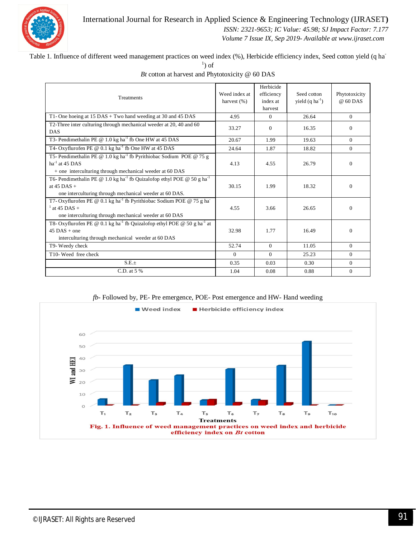

#### International Journal for Research in Applied Science & Engineering Technology (IJRASET**)**

 *ISSN: 2321-9653; IC Value: 45.98; SJ Impact Factor: 7.177*

 *Volume 7 Issue IX, Sep 2019- Available at www.ijraset.com*

Table 1. Influence of different weed management practices on weed index (%), Herbicide efficiency index, Seed cotton yield (q ha<sup>-</sup>

 $\left( \right)$  of

| Treatments                                                                                                                                                                     | Weed index at<br>harvest $(\% )$ | Herbicide<br>efficiency<br>index at<br>harvest | Seed cotton<br>yield $(q \text{ ha}^{-1})$ | Phytotoxicity<br>$@60$ DAS |
|--------------------------------------------------------------------------------------------------------------------------------------------------------------------------------|----------------------------------|------------------------------------------------|--------------------------------------------|----------------------------|
| T1- One hoeing at 15 DAS + Two hand weeding at 30 and 45 DAS                                                                                                                   | 4.95                             | $\Omega$                                       | 26.64                                      | $\theta$                   |
| T2-Three inter culturing through mechanical weeder at 20, 40 and 60<br><b>DAS</b>                                                                                              | 33.27                            | 0                                              | 16.35                                      | $\Omega$                   |
| T3- Pendimethalin PE @ 1.0 kg ha <sup>-1</sup> fb One HW at 45 DAS                                                                                                             | 20.67                            | 1.99                                           | 19.63                                      | $\theta$                   |
| T4- Oxyflurofen PE @ $0.1 \text{ kg ha}^{-1}$ fb One HW at 45 DAS                                                                                                              | 24.64                            | 1.87                                           | 18.82                                      | $\mathbf{0}$               |
| T5- Pendimethalin PE @ 1.0 kg ha <sup>-1</sup> fb Pyrithiobac Sodium POE @ 75 g<br>$ha^{-1}$ at 45 DAS<br>+ one interculturing through mechanical weeder at 60 DAS             | 4.13                             | 4.55                                           | 26.79                                      | $\Omega$                   |
| T6- Pendimethalin PE @ 1.0 kg ha <sup>-1</sup> fb Quizalofop ethyl POE @ 50 g ha <sup>-1</sup><br>at $45$ DAS +<br>one interculturing through mechanical weeder at 60 DAS.     | 30.15                            | 1.99                                           | 18.32                                      | $\mathbf{0}$               |
| T7- Oxyflurofen PE @ 0.1 kg ha <sup>-1</sup> fb Pyrithiobac Sodium POE @ 75 g ha <sup>-1</sup><br>$^{1}$ at 45 DAS +<br>one interculturing through mechanical weeder at 60 DAS | 4.55                             | 3.66                                           | 26.65                                      | $\Omega$                   |
| T8- Oxyflurofen PE @ 0.1 kg ha <sup>-1</sup> fb Quizalofop ethyl POE @ 50 g ha <sup>-1</sup> at<br>$45$ DAS + one<br>interculturing through mechanical weeder at 60 DAS        | 32.98                            | 1.77                                           | 16.49                                      | $\theta$                   |
| T9- Weedy check                                                                                                                                                                | 52.74                            | $\Omega$                                       | 11.05                                      | $\theta$                   |
| T10- Weed free check                                                                                                                                                           | $\Omega$                         | $\Omega$                                       | 25.23                                      | $\Omega$                   |
| $S.E. \pm$                                                                                                                                                                     | 0.35                             | 0.03                                           | 0.30                                       | $\theta$                   |
| C.D. at 5 %                                                                                                                                                                    | 1.04                             | 0.08                                           | 0.88                                       | $\mathbf{0}$               |